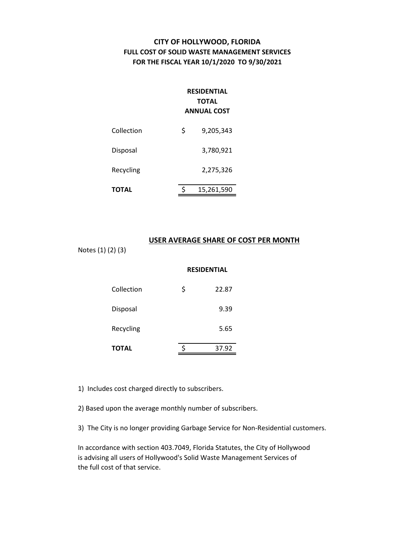## **CITY OF HOLLYWOOD, FLORIDA FULL COST OF SOLID WASTE MANAGEMENT SERVICES FOR THE FISCAL YEAR 10/1/2020 TO 9/30/2021**

## **RESIDENTIAL TOTAL ANNUAL COST**

| TOTAL      | 15,261,590      |
|------------|-----------------|
| Recycling  | 2,275,326       |
| Disposal   | 3,780,921       |
| Collection | \$<br>9,205,343 |

#### **USER AVERAGE SHARE OF COST PER MONTH**

Notes (1) (2) (3)

#### **RESIDENTIAL**

| Collection   | \$<br>22.87 |
|--------------|-------------|
| Disposal     | 9.39        |
| Recycling    | 5.65        |
| <b>TOTAL</b> | 37.92       |

1) Includes cost charged directly to subscribers.

2) Based upon the average monthly number of subscribers.

3) The City is no longer providing Garbage Service for Non-Residential customers.

In accordance with section 403.7049, Florida Statutes, the City of Hollywood is advising all users of Hollywood's Solid Waste Management Services of the full cost of that service.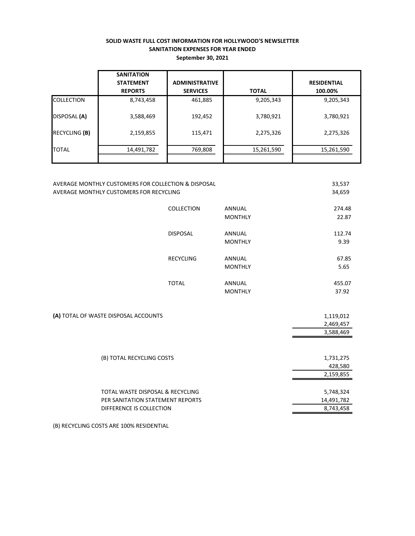#### **SOLID WASTE FULL COST INFORMATION FOR HOLLYWOOD'S NEWSLETTER SANITATION EXPENSES FOR YEAR ENDED September 30, 2021**

|                      | <b>SANITATION</b><br><b>STATEMENT</b><br><b>REPORTS</b> | <b>ADMINISTRATIVE</b><br><b>SERVICES</b> | <b>TOTAL</b> | <b>RESIDENTIAL</b><br>100.00% |
|----------------------|---------------------------------------------------------|------------------------------------------|--------------|-------------------------------|
| <b>COLLECTION</b>    | 8,743,458                                               | 461,885                                  | 9,205,343    | 9,205,343                     |
| DISPOSAL (A)         | 3,588,469                                               | 192,452                                  | 3,780,921    | 3,780,921                     |
| <b>RECYCLING (B)</b> | 2,159,855                                               | 115,471                                  | 2,275,326    | 2,275,326                     |
| <b>TOTAL</b>         | 14,491,782                                              | 769,808                                  | 15,261,590   | 15,261,590                    |

| AVERAGE MONTHLY CUSTOMERS FOR COLLECTION & DISPOSAL |                  |                | 33,537     |
|-----------------------------------------------------|------------------|----------------|------------|
| AVERAGE MONTHLY CUSTOMERS FOR RECYCLING             |                  | 34,659         |            |
|                                                     |                  |                |            |
|                                                     | COLLECTION       | <b>ANNUAL</b>  | 274.48     |
|                                                     |                  | <b>MONTHLY</b> | 22.87      |
|                                                     | <b>DISPOSAL</b>  | <b>ANNUAL</b>  | 112.74     |
|                                                     |                  | <b>MONTHLY</b> | 9.39       |
|                                                     |                  |                |            |
|                                                     | <b>RECYCLING</b> | ANNUAL         | 67.85      |
|                                                     |                  | <b>MONTHLY</b> | 5.65       |
|                                                     | <b>TOTAL</b>     |                |            |
|                                                     |                  | ANNUAL         | 455.07     |
|                                                     |                  | <b>MONTHLY</b> | 37.92      |
|                                                     |                  |                |            |
| (A) TOTAL OF WASTE DISPOSAL ACCOUNTS                |                  |                | 1,119,012  |
|                                                     |                  |                | 2,469,457  |
|                                                     |                  |                | 3,588,469  |
|                                                     |                  |                |            |
|                                                     |                  |                |            |
| (B) TOTAL RECYCLING COSTS                           |                  |                | 1,731,275  |
|                                                     |                  |                | 428,580    |
|                                                     |                  |                | 2,159,855  |
| TOTAL WASTE DISPOSAL & RECYCLING                    |                  |                | 5,748,324  |
| PER SANITATION STATEMENT REPORTS                    |                  |                | 14,491,782 |
| DIFFERENCE IS COLLECTION                            |                  |                | 8,743,458  |
|                                                     |                  |                |            |

(B) RECYCLING COSTS ARE 100% RESIDENTIAL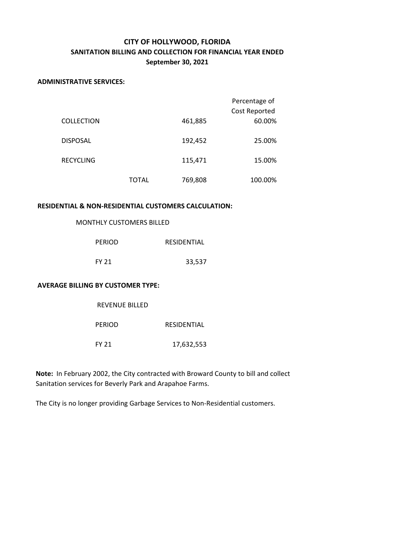# **CITY OF HOLLYWOOD, FLORIDA SANITATION BILLING AND COLLECTION FOR FINANCIAL YEAR ENDED September 30, 2021**

#### **ADMINISTRATIVE SERVICES:**

|                   |       |         | Percentage of<br>Cost Reported |
|-------------------|-------|---------|--------------------------------|
| <b>COLLECTION</b> |       | 461,885 | 60.00%                         |
| <b>DISPOSAL</b>   |       | 192,452 | 25.00%                         |
| <b>RECYCLING</b>  |       | 115,471 | 15.00%                         |
|                   | TOTAL | 769,808 | 100.00%                        |

#### **RESIDENTIAL & NON-RESIDENTIAL CUSTOMERS CALCULATION:**

### MONTHLY CUSTOMERS BILLED

REVENUE BILLED

| <b>PERIOD</b> | RESIDENTIAL |  |
|---------------|-------------|--|
| FY 21         | 33,537      |  |

#### **AVERAGE BILLING BY CUSTOMER TYPE:**

| <b>KEVENUE BILLED</b> |             |
|-----------------------|-------------|
| <b>PERIOD</b>         | RESIDENTIAL |
| FY 21                 | 17,632,553  |

**Note:** In February 2002, the City contracted with Broward County to bill and collect Sanitation services for Beverly Park and Arapahoe Farms.

The City is no longer providing Garbage Services to Non-Residential customers.